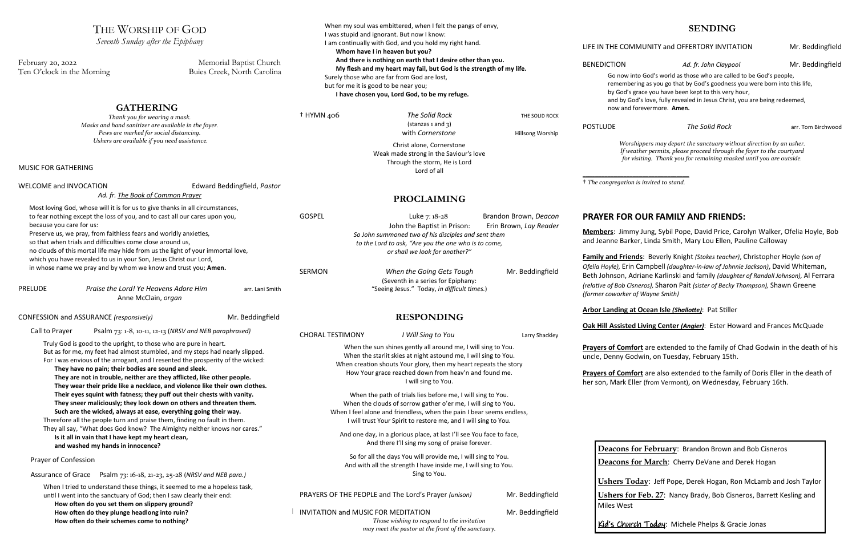**Members**: Jimmy Jung, Sybil Pope, David Price, Carolyn Walker, Ofelia Hoyle, Bob rker, Linda Smith, Mary Lou Ellen, Pauline Calloway

| THE WORSHIP OF GOD<br>Seventh Sunday after the Epiphany                                                                                                                                                                                                                                                                                                                                                                                                                                                                                                                                                                                                                                                                                                                                                                                                                                     |                                                        | When my soul was embittered, when I felt the pangs of envy,<br>I was stupid and ignorant. But now I know:<br>I am continually with God, and you hold my right hand.                                                                                                                                                                                                                                                                                                                                                                                                                                                                                                                                         |                                                                                                                                                                                |                                                                                                                                                                                                                         | LIFE IN THE COMMUNITY and OFF                                                                                                                                            |
|---------------------------------------------------------------------------------------------------------------------------------------------------------------------------------------------------------------------------------------------------------------------------------------------------------------------------------------------------------------------------------------------------------------------------------------------------------------------------------------------------------------------------------------------------------------------------------------------------------------------------------------------------------------------------------------------------------------------------------------------------------------------------------------------------------------------------------------------------------------------------------------------|--------------------------------------------------------|-------------------------------------------------------------------------------------------------------------------------------------------------------------------------------------------------------------------------------------------------------------------------------------------------------------------------------------------------------------------------------------------------------------------------------------------------------------------------------------------------------------------------------------------------------------------------------------------------------------------------------------------------------------------------------------------------------------|--------------------------------------------------------------------------------------------------------------------------------------------------------------------------------|-------------------------------------------------------------------------------------------------------------------------------------------------------------------------------------------------------------------------|--------------------------------------------------------------------------------------------------------------------------------------------------------------------------|
| February 20, 2022<br>Ten O'clock in the Morning                                                                                                                                                                                                                                                                                                                                                                                                                                                                                                                                                                                                                                                                                                                                                                                                                                             | Memorial Baptist Church<br>Buies Creek, North Carolina | Whom have I in heaven but you?<br>And there is nothing on earth that I desire other than you.<br>My flesh and my heart may fail, but God is the strength of my life.<br>Surely those who are far from God are lost,<br>but for me it is good to be near you;<br>I have chosen you, Lord God, to be my refuge.                                                                                                                                                                                                                                                                                                                                                                                               |                                                                                                                                                                                | <b>BENEDICTION</b><br>A<br>Go now into God's world as th<br>remembering as you go that b<br>by God's grace you have been                                                                                                |                                                                                                                                                                          |
| <b>GATHERING</b><br>Thank you for wearing a mask.<br>Masks and hand sanitizer are available in the foyer.<br>Pews are marked for social distancing.<br>Ushers are available if you need assistance.<br>MUSIC FOR GATHERING                                                                                                                                                                                                                                                                                                                                                                                                                                                                                                                                                                                                                                                                  |                                                        | $+$ HYMN 406                                                                                                                                                                                                                                                                                                                                                                                                                                                                                                                                                                                                                                                                                                | The Solid Rock<br>(statazas1 and 3)<br>with Cornerstone<br>Christ alone, Cornerstone<br>Weak made strong in the Saviour's love<br>Through the storm, He is Lord<br>Lord of all | THE SOLID ROCK<br>Hillsong Worship                                                                                                                                                                                      | and by God's love, fully reveal<br>now and forevermore. Amen.<br><b>POSTLUDE</b><br>Worshippers may depart t<br>If weather permits, please<br>for visiting. Thank you fo |
| WELCOME and INVOCATION<br>Ad. fr. The Book of Common Prayer                                                                                                                                                                                                                                                                                                                                                                                                                                                                                                                                                                                                                                                                                                                                                                                                                                 | Edward Beddingfield, Pastor                            | <b>PROCLAIMING</b>                                                                                                                                                                                                                                                                                                                                                                                                                                                                                                                                                                                                                                                                                          |                                                                                                                                                                                | <sup>†</sup> The congregation is invited to stand.                                                                                                                                                                      |                                                                                                                                                                          |
| Most loving God, whose will it is for us to give thanks in all circumstances,<br>to fear nothing except the loss of you, and to cast all our cares upon you,<br>because you care for us:<br>Preserve us, we pray, from faithless fears and worldly anxieties,<br>so that when trials and difficulties come close around us,<br>no clouds of this mortal life may hide from us the light of your immortal love,<br>which you have revealed to us in your Son, Jesus Christ our Lord,<br>in whose name we pray and by whom we know and trust you; Amen.                                                                                                                                                                                                                                                                                                                                       |                                                        | <b>GOSPEL</b><br>Brandon Brown, Deacon<br>Luke 7: 18-28<br>John the Baptist in Prison:<br>Erin Brown, Lay Reader<br>So John summoned two of his disciples and sent them<br>to the Lord to ask, "Are you the one who is to come,<br>or shall we look for another?"<br><b>SERMON</b><br>When the Going Gets Tough<br>Mr. Beddingfield<br>(Seventh in a series for Epiphany:                                                                                                                                                                                                                                                                                                                                   |                                                                                                                                                                                | <b>PRAYER FOR OUR FAMILY</b><br>Members: Jimmy Jung, Sybil Pope<br>and Jeanne Barker, Linda Smith, M<br>Family and Friends: Beverly Knigh<br>Ofelia Hoyle), Erin Campbell (daught<br>Beth Johnson, Adriane Karlinski ar |                                                                                                                                                                          |
| <b>PRELUDE</b><br>Praise the Lord! Ye Heavens Adore Him<br>arr. Lani Smith<br>Anne McClain, organ                                                                                                                                                                                                                                                                                                                                                                                                                                                                                                                                                                                                                                                                                                                                                                                           |                                                        | "Seeing Jesus." Today, in difficult times.)                                                                                                                                                                                                                                                                                                                                                                                                                                                                                                                                                                                                                                                                 |                                                                                                                                                                                |                                                                                                                                                                                                                         | (relative of Bob Cisneros), Sharon Pai<br>(former coworker of Wayne Smith)                                                                                               |
| CONFESSION and ASSURANCE (responsively)<br>Mr. Beddingfield<br>Call to Prayer<br>Psalm 73: 1-8, 10-11, 12-13 (NRSV and NEB paraphrased)                                                                                                                                                                                                                                                                                                                                                                                                                                                                                                                                                                                                                                                                                                                                                     |                                                        | <b>RESPONDING</b>                                                                                                                                                                                                                                                                                                                                                                                                                                                                                                                                                                                                                                                                                           |                                                                                                                                                                                |                                                                                                                                                                                                                         | <b>Arbor Landing at Ocean Isle (Shall</b><br>Oak Hill Assisted Living Center (Ar                                                                                         |
| Truly God is good to the upright, to those who are pure in heart.<br>But as for me, my feet had almost stumbled, and my steps had nearly slipped.<br>For I was envious of the arrogant, and I resented the prosperity of the wicked:<br>They have no pain; their bodies are sound and sleek.<br>They are not in trouble, neither are they afflicted, like other people.<br>They wear their pride like a necklace, and violence like their own clothes.<br>Their eyes squint with fatness; they puff out their chests with vanity.<br>They sneer maliciously; they look down on others and threaten them.<br>Such are the wicked, always at ease, everything going their way.<br>Therefore all the people turn and praise them, finding no fault in them.<br>They all say, "What does God know? The Almighty neither knows nor cares."<br>Is it all in vain that I have kept my heart clean, |                                                        | I Will Sing to You<br><b>CHORAL TESTIMONY</b><br>Larry Shackley<br>When the sun shines gently all around me, I will sing to You.<br>When the starlit skies at night astound me, I will sing to You.<br>When creation shouts Your glory, then my heart repeats the story<br>How Your grace reached down from heav'n and found me.<br>I will sing to You.<br>When the path of trials lies before me, I will sing to You.<br>When the clouds of sorrow gather o'er me, I will sing to You.<br>When I feel alone and friendless, when the pain I bear seems endless,<br>I will trust Your Spirit to restore me, and I will sing to You.<br>And one day, in a glorious place, at last I'll see You face to face, |                                                                                                                                                                                |                                                                                                                                                                                                                         | Prayers of Comfort are extended<br>uncle, Denny Godwin, on Tuesday<br>Prayers of Comfort are also exten<br>her son, Mark Eller (from Vermont)                            |
| and washed my hands in innocence?<br>Prayer of Confession                                                                                                                                                                                                                                                                                                                                                                                                                                                                                                                                                                                                                                                                                                                                                                                                                                   |                                                        | And there I'll sing my song of praise forever.<br>So for all the days You will provide me, I will sing to You.<br>And with all the strength I have inside me, I will sing to You.                                                                                                                                                                                                                                                                                                                                                                                                                                                                                                                           |                                                                                                                                                                                |                                                                                                                                                                                                                         | Deacons for February: Br<br>Deacons for March: Cheri                                                                                                                     |
| Assurance of Grace<br>Psalm 73: 16-18, 21-23, 25-28 (NRSV and NEB para.)                                                                                                                                                                                                                                                                                                                                                                                                                                                                                                                                                                                                                                                                                                                                                                                                                    |                                                        | Sing to You.                                                                                                                                                                                                                                                                                                                                                                                                                                                                                                                                                                                                                                                                                                |                                                                                                                                                                                |                                                                                                                                                                                                                         |                                                                                                                                                                          |
| When I tried to understand these things, it seemed to me a hopeless task,<br>until I went into the sanctuary of God; then I saw clearly their end:<br>How often do you set them on slippery ground?<br>How often do they plunge headlong into ruin?<br>How often do their schemes come to nothing?                                                                                                                                                                                                                                                                                                                                                                                                                                                                                                                                                                                          |                                                        | INVITATION and MUSIC FOR MEDITATION                                                                                                                                                                                                                                                                                                                                                                                                                                                                                                                                                                                                                                                                         | PRAYERS OF THE PEOPLE and The Lord's Prayer (unison)<br>Those wishing to respond to the invitation<br>may meet the pastor at the front of the sanctuary.                       | Mr. Beddingfield<br>Mr. Beddingfield                                                                                                                                                                                    | <b>Ushers Today: Jeff Pope, D</b><br><b>Ushers for Feb. 27: Nancy</b><br><b>Miles West</b><br><u>Kid's Church Today</u> : Miche                                          |

#### **SENDING**

#### MMUNITY and OFFERTORY INVITATION Mr. Beddingfield

Ad. fr. John Claypool Mr. Beddingfield

into God's world as those who are called to be God's people, bering as you go that by God's goodness you were born into this life, s grace you have been kept to this very hour, God's love, fully revealed in Jesus Christ, you are being redeemed, nd forevermore. Amen.

**The Solid Rock arr. Tom Birchwood** 

*Worshippers may depart the sanctuary without direction by an usher. If weather permits, please proceed through the foyer to the courtyard for visiting. Thank you for remaining masked until you are outside.*

### **R OUR FAMILY AND FRIENDS:**

**Family and Friends**: Beverly Knight *(Stokes teacher)*, Christopher Hoyle *(son of Ofelia Hoyle),* Erin Campbell *(daughter-in-law of Johnnie Jackson)*, David Whiteman, Adriane Karlinski and family *(daughter of Randall Johnson)*, Al Ferrara *(relative of Bob Cisneros),* Sharon Pait *(sister of Becky Thompson),* Shawn Greene *(former coworker of Wayne Smith)*

**Art Ocean Isle (Shallotte): Pat Stiller** 

**ed Living Center (Angier)**: Ester Howard and Frances McQuade

**propert** are extended to the family of Chad Godwin in the death of his iodwin, on Tuesday, February 15th.

**Prayers are also extended to the family of Doris Eller in the death of** Eller (from Vermont), on Wednesday, February 16th.

for February: Brandon Brown and Bob Cisneros for March: Cherry DeVane and Derek Hogan

**Joday: Jeff Pope, Derek Hogan, Ron McLamb and Josh Taylor** 

**or Feb. 27:** Nancy Brady, Bob Cisneros, Barrett Kesling and

**Irch Today:** Michele Phelps & Gracie Jonas